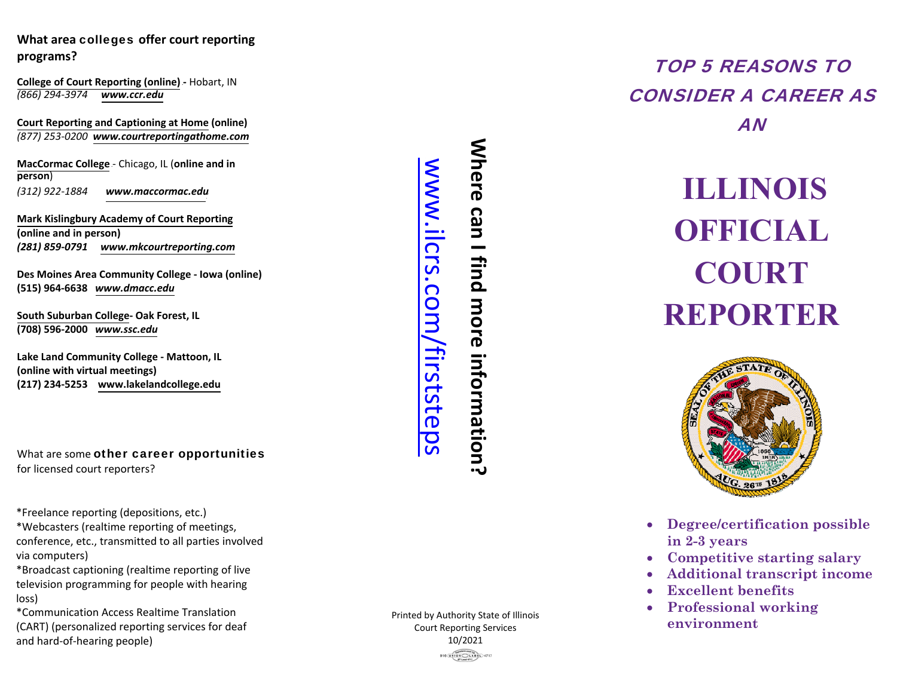**College of Court Reporting (online) -** Hobart, IN *(866)294-3974 www.ccr.edu*

**Court Reporting and Captioning at Home (online)** *(877) 253-0200 www.courtreportingathome.com*

U HU*www.maccormac.edu*What area colleges offer court reporting<br>programs?<br>College of Court Reporting (online) - Hobart, IN<br>(866) 294-3974 www.ccr.edu<br>Court Reporting and Captioning at Home (online)<br>(877) 253-0200 www.courtreportingathome.com<br>Mac **MacCormac College** - Chicago, IL (online and in **person**)H*(312) 922-1884*

**Mark Kislingbury Academy of Court Reporting (online and in person)***(281) 859-0791 www.mkcourtreporting.com*

**Des Moines Area Community College - Iowa (online)(515) 964-6638** *www.dmacc.edu*

**South Suburban College- Oak Forest, IL (708) 596-2000** *www.ssc.edu*

**Lake Land Community College - Mattoon, IL(online with virtual meetings)(217) 234-5253 www.lakelandcollege.edu**

What are some other career opportunitiesfor licensed court reporters?

\*Freelance reporting (depositions, etc.)

 \*Webcasters (realtime reporting of meetings,conference, etc., transmitted to all parties involvedvia computers)

 \*Broadcast captioning (realtime reporting of live television programming for people with hearingloss)

 \*Communication Access Realtime Translation (CART) (personalized reporting services for deaf and hard-of-hearing people)

**Where can I find more information?**  Where can I find more information? **MWW.il** crs.com /firststeps

Printed by Authority State of Illinois Court Reporting Services 10/2021**916 UNION CLABEL 4717** 

TOP 5 REASONS TO CONSIDER A CAREER AS AN

# **ILLINOIS OFFICIAL COURT REPORTER**



- **Degree/certification possible in 2-3 years**
- **Competitive starting salary**
- 0 **Additional transcript incom e**
- 0 **Excellent benefits**
- 0 **Professional working environment**